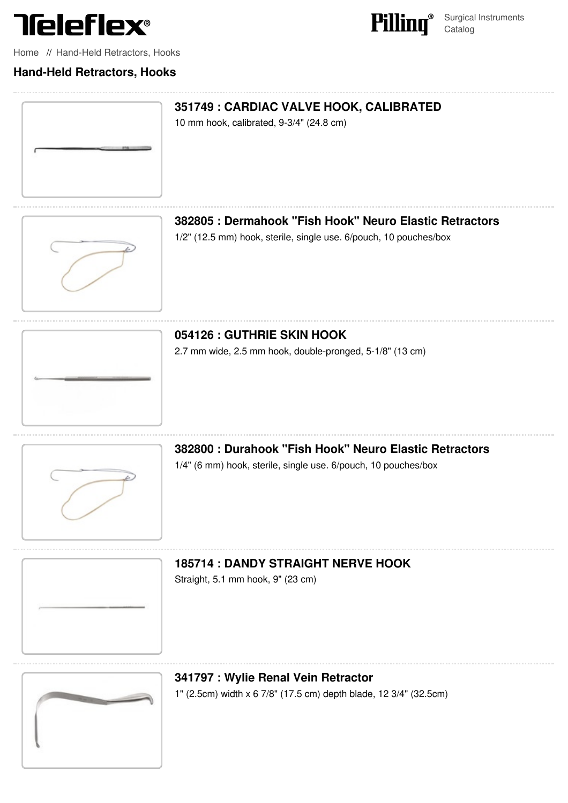



Surgical Instruments **Catalog** 

[Home](file:///surgical/pilling/home) // Hand-Held [Retractors,](file:///surgical/pilling/products?category=57%2C78&parent_id=21) Hooks

#### **Hand-Held Retractors, Hooks**





**382805 : [Dermahook](file:///pilling/product/382805-dermahook-fish-hook-neuro-elastic-retractors) "Fish Hook" Neuro Elastic Retractors**

1/2" (12.5 mm) hook, sterile, single use. 6/pouch, 10 pouches/box



# **054126 : GUTHRIE SKIN HOOK**

2.7 mm wide, 2.5 mm hook, [double-pronged,](file:///pilling/product/054126-guthrie-skin-hook) 5-1/8" (13 cm)



**382800 : Durahook "Fish Hook" Neuro Elastic [Retractors](file:///pilling/product/382800-durahook-fish-hook-neuro-elastic-retractors)** 1/4" (6 mm) hook, sterile, single use. 6/pouch, 10 pouches/box

**185714 : DANDY [STRAIGHT](file:///pilling/product/185714-dandy-straight-nerve-hook) NERVE HOOK**

Straight, 5.1 mm hook, 9" (23 cm)





# **341797 : Wylie Renal Vein [Retractor](file:///pilling/product/341797-wylie-renal-vein-retractor)**

1" (2.5cm) width x 6 7/8" (17.5 cm) depth blade, 12 3/4" (32.5cm)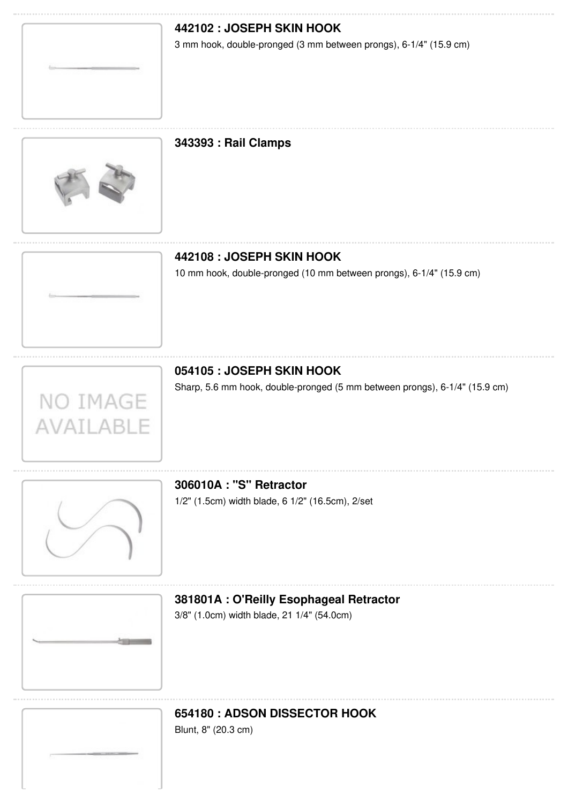

# **442102 : JOSEPH SKIN HOOK**

3 mm hook, [double-pronged](file:///pilling/product/442102-joseph-skin-hook) (3 mm between prongs), 6-1/4" (15.9 cm)

#### **343393 : Rail [Clamps](file:///pilling/product/343393-rail-clamps)**



### **442108 : JOSEPH SKIN HOOK**

10 mm hook, [double-pronged](file:///pilling/product/442108-joseph-skin-hook) (10 mm between prongs), 6-1/4" (15.9 cm)



#### **054105 : JOSEPH SKIN HOOK**

Sharp, 5.6 mm hook, [double-pronged](file:///pilling/product/054105-joseph-skin-hook) (5 mm between prongs), 6-1/4" (15.9 cm)



# **306010A : "S" [Retractor](file:///pilling/product/306010a-s-retractor)**

1/2" (1.5cm) width blade, 6 1/2" (16.5cm), 2/set



#### **381801A : O'Reilly [Esophageal](file:///pilling/product/381801a-o-reilly-esophageal-retractor) Retractor**

3/8" (1.0cm) width blade, 21 1/4" (54.0cm)

# **654180 : ADSON [DISSECTOR](file:///pilling/product/654180-adson-dissector-hook) HOOK**

Blunt, 8" (20.3 cm)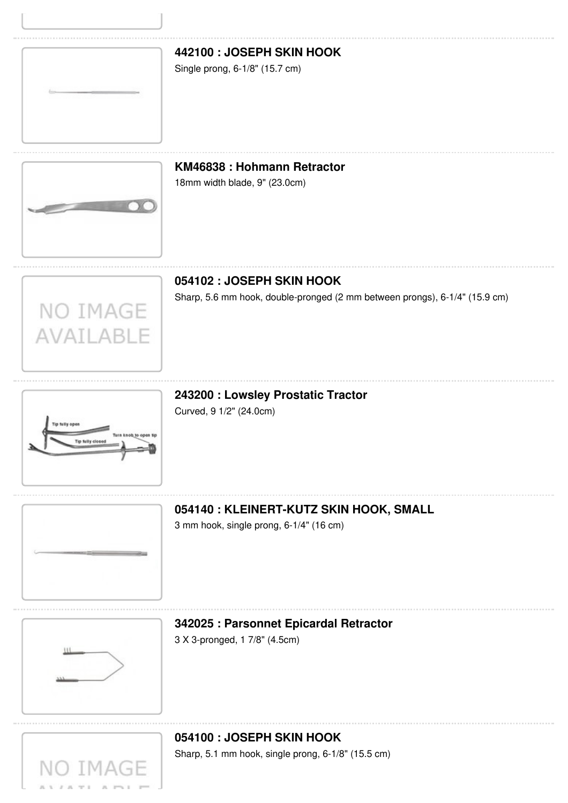

# **442100 : [JOSEPH](file:///pilling/product/442100-joseph-skin-hook) SKIN HOOK**

Single prong, 6-1/8" (15.7 cm)

## **KM46838 : [Hohmann](file:///pilling/product/km46838-hohmann-retractor) Retractor**

18mm width blade, 9" (23.0cm)



NO IMAGE

AVAILABLE

# **054102 : JOSEPH SKIN HOOK**

Sharp, 5.6 mm hook, [double-pronged](file:///pilling/product/054102-joseph-skin-hook) (2 mm between prongs), 6-1/4" (15.9 cm)



**243200 : Lowsley [Prostatic](file:///pilling/product/243200-lowsley-prostatic-tractor) Tractor**

Curved, 9 1/2" (24.0cm)



**054140 : [KLEINERT-KUTZ](file:///pilling/product/054140-kleinert-kutz-skin-hook-small) SKIN HOOK, SMALL**

3 mm hook, single prong, 6-1/4" (16 cm)



#### **342025 : [Parsonnet](file:///pilling/product/342025-parsonnet-epicardal-retractor) Epicardal Retractor**

3 X 3-pronged, 1 7/8" (4.5cm)

# **054100 : [JOSEPH](file:///pilling/product/054100-joseph-skin-hook) SKIN HOOK** Sharp, 5.1 mm hook, single prong, 6-1/8" (15.5 cm)